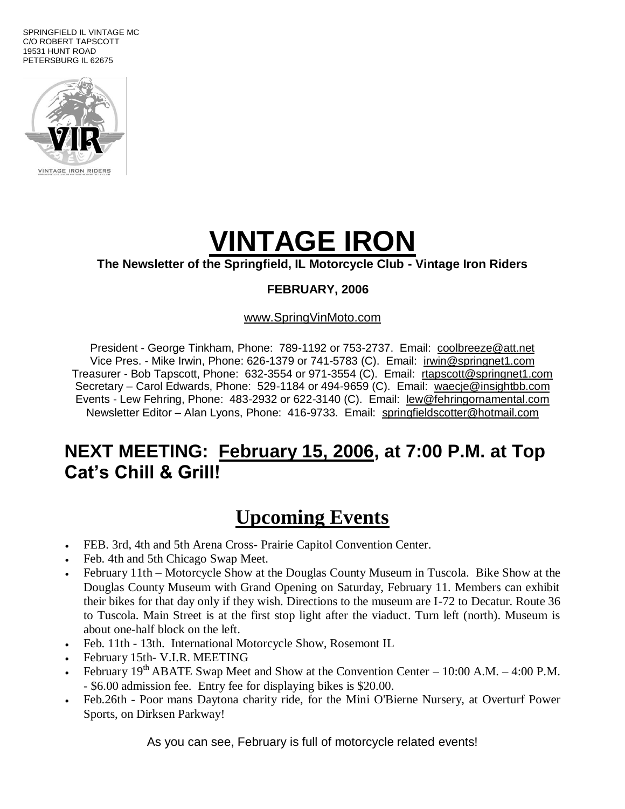SPRINGFIELD IL VINTAGE MC C/O ROBERT TAPSCOTT 19531 HUNT ROAD PETERSBURG IL 62675



# **VINTAGE IRON**

#### **The Newsletter of the Springfield, IL Motorcycle Club - Vintage Iron Riders**

#### **FEBRUARY, 2006**

#### www.SpringVinMoto.com

President - George Tinkham, Phone: 789-1192 or 753-2737. Email: coolbreeze@att.net Vice Pres. - Mike Irwin, Phone: 626-1379 or 741-5783 (C). Email: irwin@springnet1.com Treasurer - Bob Tapscott, Phone: 632-3554 or 971-3554 (C). Email: rtapscott@springnet1.com Secretary – Carol Edwards, Phone: 529-1184 or 494-9659 (C). Email: waecje@insightbb.com Events - Lew Fehring, Phone: 483-2932 or 622-3140 (C). Email: lew@fehringornamental.com Newsletter Editor – Alan Lyons, Phone: 416-9733. Email: springfieldscotter@hotmail.com

#### **NEXT MEETING: February 15, 2006, at 7:00 P.M. at Top Cat's Chill & Grill!**

### **Upcoming Events**

- FEB. 3rd, 4th and 5th Arena Cross- Prairie Capitol Convention Center.
- Feb. 4th and 5th Chicago Swap Meet.
- February 11th Motorcycle Show at the Douglas County Museum in Tuscola. Bike Show at the Douglas County Museum with Grand Opening on Saturday, February 11. Members can exhibit their bikes for that day only if they wish. Directions to the museum are I-72 to Decatur. Route 36 to Tuscola. Main Street is at the first stop light after the viaduct. Turn left (north). Museum is about one-half block on the left.
- Feb. 11th 13th. International Motorcycle Show, Rosemont IL
- February 15th- V.I.R. MEETING
- February  $19<sup>th</sup> ABATE Swap Meet and Show at the Convention Center 10:00 A.M. 4:00 P.M.$ - \$6.00 admission fee. Entry fee for displaying bikes is \$20.00.
- Feb.26th Poor mans Daytona charity ride, for the Mini O'Bierne Nursery, at Overturf Power Sports, on Dirksen Parkway!

As you can see, February is full of motorcycle related events!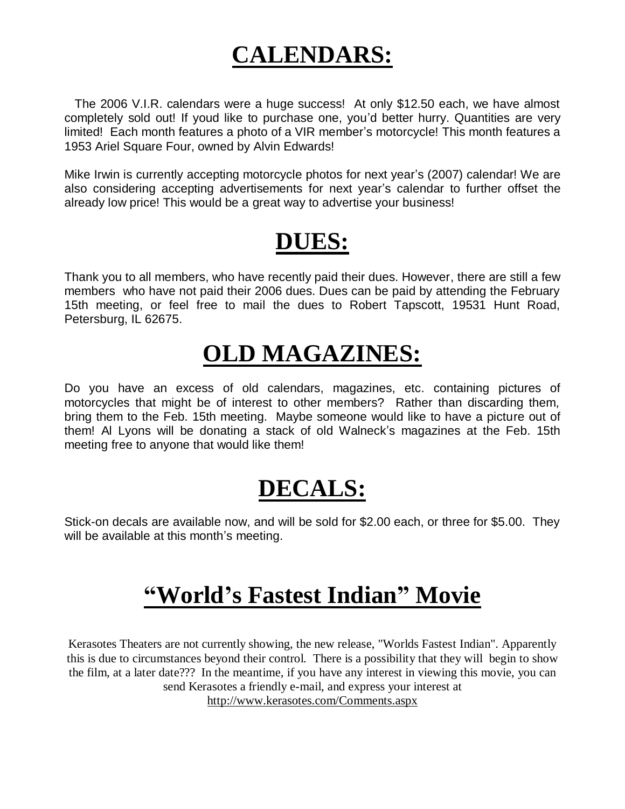## **CALENDARS:**

 The 2006 V.I.R. calendars were a huge success! At only \$12.50 each, we have almost completely sold out! If youd like to purchase one, you'd better hurry. Quantities are very limited! Each month features a photo of a VIR member's motorcycle! This month features a 1953 Ariel Square Four, owned by Alvin Edwards!

Mike Irwin is currently accepting motorcycle photos for next year's (2007) calendar! We are also considering accepting advertisements for next year's calendar to further offset the already low price! This would be a great way to advertise your business!

## **DUES:**

Thank you to all members, who have recently paid their dues. However, there are still a few members who have not paid their 2006 dues. Dues can be paid by attending the February 15th meeting, or feel free to mail the dues to Robert Tapscott, 19531 Hunt Road, Petersburg, IL 62675.

## **OLD MAGAZINES:**

Do you have an excess of old calendars, magazines, etc. containing pictures of motorcycles that might be of interest to other members? Rather than discarding them, bring them to the Feb. 15th meeting. Maybe someone would like to have a picture out of them! Al Lyons will be donating a stack of old Walneck's magazines at the Feb. 15th meeting free to anyone that would like them!

## **DECALS:**

Stick-on decals are available now, and will be sold for \$2.00 each, or three for \$5.00. They will be available at this month's meeting.

### **"World's Fastest Indian" Movie**

Kerasotes Theaters are not currently showing, the new release, "Worlds Fastest Indian". Apparently this is due to circumstances beyond their control. There is a possibility that they will begin to show the film, at a later date??? In the meantime, if you have any interest in viewing this movie, you can send Kerasotes a friendly e-mail, and express your interest at

http://www.kerasotes.com/Comments.aspx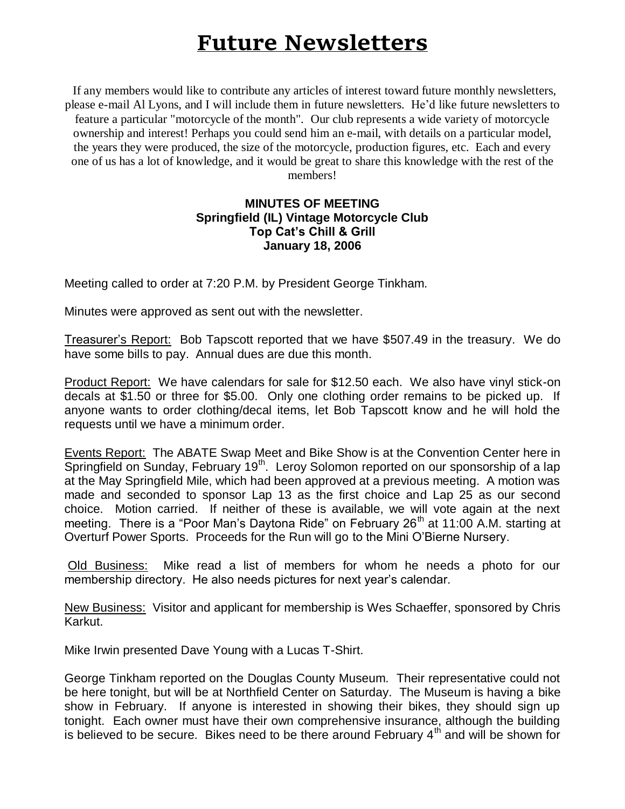### **Future Newsletters**

If any members would like to contribute any articles of interest toward future monthly newsletters, please e-mail Al Lyons, and I will include them in future newsletters. He'd like future newsletters to feature a particular "motorcycle of the month". Our club represents a wide variety of motorcycle ownership and interest! Perhaps you could send him an e-mail, with details on a particular model, the years they were produced, the size of the motorcycle, production figures, etc. Each and every one of us has a lot of knowledge, and it would be great to share this knowledge with the rest of the members!

#### **MINUTES OF MEETING Springfield (IL) Vintage Motorcycle Club Top Cat's Chill & Grill January 18, 2006**

Meeting called to order at 7:20 P.M. by President George Tinkham.

Minutes were approved as sent out with the newsletter.

Treasurer's Report: Bob Tapscott reported that we have \$507.49 in the treasury. We do have some bills to pay. Annual dues are due this month.

Product Report: We have calendars for sale for \$12.50 each. We also have vinyl stick-on decals at \$1.50 or three for \$5.00. Only one clothing order remains to be picked up. If anyone wants to order clothing/decal items, let Bob Tapscott know and he will hold the requests until we have a minimum order.

Events Report: The ABATE Swap Meet and Bike Show is at the Convention Center here in Springfield on Sunday, February  $19<sup>th</sup>$ . Leroy Solomon reported on our sponsorship of a lap at the May Springfield Mile, which had been approved at a previous meeting. A motion was made and seconded to sponsor Lap 13 as the first choice and Lap 25 as our second choice. Motion carried. If neither of these is available, we will vote again at the next meeting. There is a "Poor Man's Daytona Ride" on February  $26<sup>th</sup>$  at 11:00 A.M. starting at Overturf Power Sports. Proceeds for the Run will go to the Mini O'Bierne Nursery.

Old Business: Mike read a list of members for whom he needs a photo for our membership directory. He also needs pictures for next year's calendar.

New Business: Visitor and applicant for membership is Wes Schaeffer, sponsored by Chris Karkut.

Mike Irwin presented Dave Young with a Lucas T-Shirt.

George Tinkham reported on the Douglas County Museum. Their representative could not be here tonight, but will be at Northfield Center on Saturday. The Museum is having a bike show in February. If anyone is interested in showing their bikes, they should sign up tonight. Each owner must have their own comprehensive insurance, although the building is believed to be secure. Bikes need to be there around February  $4<sup>th</sup>$  and will be shown for